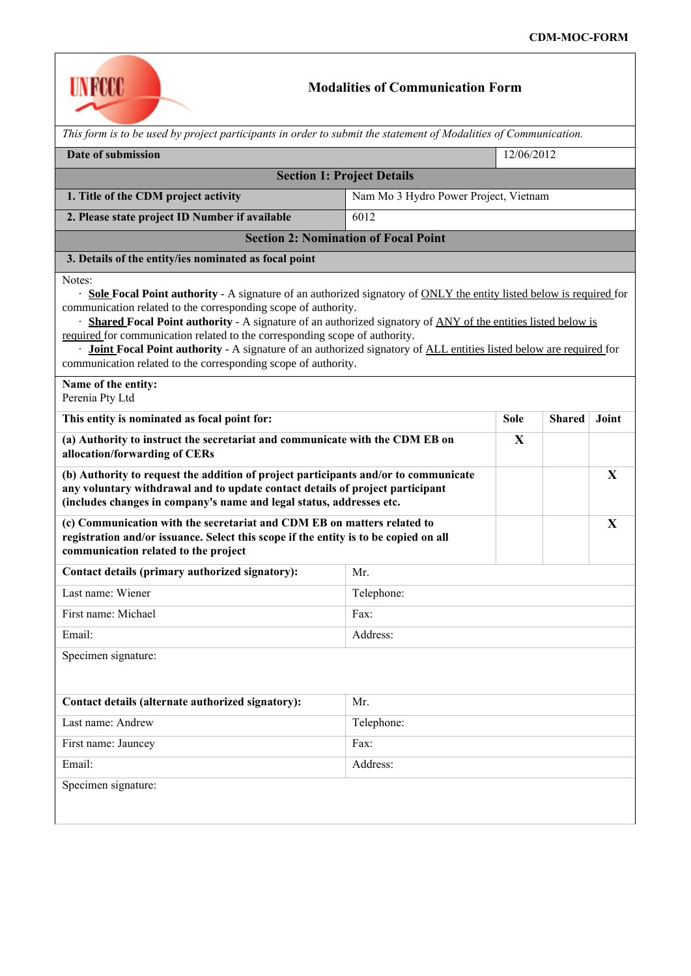

## **Modalities of Communication Form**

| This form is to be used by project participants in order to submit the statement of Modalities of Communication.                                                                                                                                                                                                                                                                                                                                                                                                                                                                                                    |                                       |             |               |       |  |  |  |
|---------------------------------------------------------------------------------------------------------------------------------------------------------------------------------------------------------------------------------------------------------------------------------------------------------------------------------------------------------------------------------------------------------------------------------------------------------------------------------------------------------------------------------------------------------------------------------------------------------------------|---------------------------------------|-------------|---------------|-------|--|--|--|
| Date of submission                                                                                                                                                                                                                                                                                                                                                                                                                                                                                                                                                                                                  |                                       | 12/06/2012  |               |       |  |  |  |
| <b>Section 1: Project Details</b>                                                                                                                                                                                                                                                                                                                                                                                                                                                                                                                                                                                   |                                       |             |               |       |  |  |  |
| 1. Title of the CDM project activity                                                                                                                                                                                                                                                                                                                                                                                                                                                                                                                                                                                | Nam Mo 3 Hydro Power Project, Vietnam |             |               |       |  |  |  |
| 2. Please state project ID Number if available                                                                                                                                                                                                                                                                                                                                                                                                                                                                                                                                                                      | 6012                                  |             |               |       |  |  |  |
| <b>Section 2: Nomination of Focal Point</b>                                                                                                                                                                                                                                                                                                                                                                                                                                                                                                                                                                         |                                       |             |               |       |  |  |  |
| 3. Details of the entity/ies nominated as focal point                                                                                                                                                                                                                                                                                                                                                                                                                                                                                                                                                               |                                       |             |               |       |  |  |  |
| Notes:<br>· Sole Focal Point authority - A signature of an authorized signatory of ONLY the entity listed below is required for<br>communication related to the corresponding scope of authority.<br>· Shared Focal Point authority - A signature of an authorized signatory of ANY of the entities listed below is<br>required for communication related to the corresponding scope of authority.<br>· Joint Focal Point authority - A signature of an authorized signatory of ALL entities listed below are required for<br>communication related to the corresponding scope of authority.<br>Name of the entity: |                                       |             |               |       |  |  |  |
| Perenia Pty Ltd                                                                                                                                                                                                                                                                                                                                                                                                                                                                                                                                                                                                     |                                       |             |               |       |  |  |  |
| This entity is nominated as focal point for:                                                                                                                                                                                                                                                                                                                                                                                                                                                                                                                                                                        |                                       | <b>Sole</b> | <b>Shared</b> | Joint |  |  |  |
| (a) Authority to instruct the secretariat and communicate with the CDM EB on<br>allocation/forwarding of CERs                                                                                                                                                                                                                                                                                                                                                                                                                                                                                                       |                                       | X           |               |       |  |  |  |
| (b) Authority to request the addition of project participants and/or to communicate<br>any voluntary withdrawal and to update contact details of project participant<br>(includes changes in company's name and legal status, addresses etc.                                                                                                                                                                                                                                                                                                                                                                        |                                       |             |               | X     |  |  |  |
| (c) Communication with the secretariat and CDM EB on matters related to<br>registration and/or issuance. Select this scope if the entity is to be copied on all<br>communication related to the project                                                                                                                                                                                                                                                                                                                                                                                                             |                                       |             |               | X     |  |  |  |
| Contact details (primary authorized signatory):                                                                                                                                                                                                                                                                                                                                                                                                                                                                                                                                                                     | Mr.                                   |             |               |       |  |  |  |
| Last name: Wiener                                                                                                                                                                                                                                                                                                                                                                                                                                                                                                                                                                                                   | Telephone:                            |             |               |       |  |  |  |
| First name: Michael                                                                                                                                                                                                                                                                                                                                                                                                                                                                                                                                                                                                 | Fax:                                  |             |               |       |  |  |  |
| Email:                                                                                                                                                                                                                                                                                                                                                                                                                                                                                                                                                                                                              | Address:                              |             |               |       |  |  |  |
| Specimen signature:                                                                                                                                                                                                                                                                                                                                                                                                                                                                                                                                                                                                 |                                       |             |               |       |  |  |  |
| Contact details (alternate authorized signatory):                                                                                                                                                                                                                                                                                                                                                                                                                                                                                                                                                                   | Mr.                                   |             |               |       |  |  |  |
| Last name: Andrew                                                                                                                                                                                                                                                                                                                                                                                                                                                                                                                                                                                                   | Telephone:                            |             |               |       |  |  |  |
| First name: Jauncey                                                                                                                                                                                                                                                                                                                                                                                                                                                                                                                                                                                                 | Fax:                                  |             |               |       |  |  |  |
| Email:                                                                                                                                                                                                                                                                                                                                                                                                                                                                                                                                                                                                              | Address:                              |             |               |       |  |  |  |
| Specimen signature:                                                                                                                                                                                                                                                                                                                                                                                                                                                                                                                                                                                                 |                                       |             |               |       |  |  |  |